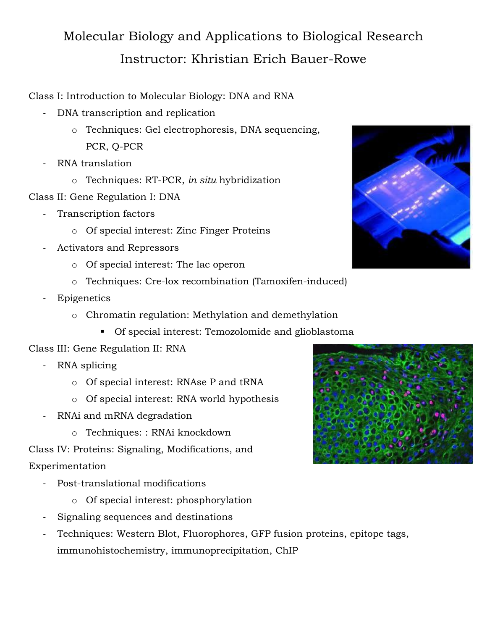## Molecular Biology and Applications to Biological Research Instructor: Khristian Erich Bauer-Rowe

Class I: Introduction to Molecular Biology: DNA and RNA

- DNA transcription and replication
	- o Techniques: Gel electrophoresis, DNA sequencing, PCR, Q-PCR
- RNA translation
	- o Techniques: RT-PCR, *in situ* hybridization
- Class II: Gene Regulation I: DNA
	- Transcription factors
		- o Of special interest: Zinc Finger Proteins
	- Activators and Repressors
		- o Of special interest: The lac operon
		- o Techniques: Cre-lox recombination (Tamoxifen-induced)
	- **Epigenetics** 
		- o Chromatin regulation: Methylation and demethylation
			- **Of special interest: Temozolomide and glioblastoma**
- Class III: Gene Regulation II: RNA
	- RNA splicing
		- o Of special interest: RNAse P and tRNA
		- o Of special interest: RNA world hypothesis
	- RNAi and mRNA degradation
		- o Techniques: : RNAi knockdown

Class IV: Proteins: Signaling, Modifications, and Experimentation

- Post-translational modifications
	- o Of special interest: phosphorylation
- Signaling sequences and destinations
- Techniques: Western Blot, Fluorophores, GFP fusion proteins, epitope tags, immunohistochemistry, immunoprecipitation, ChIP